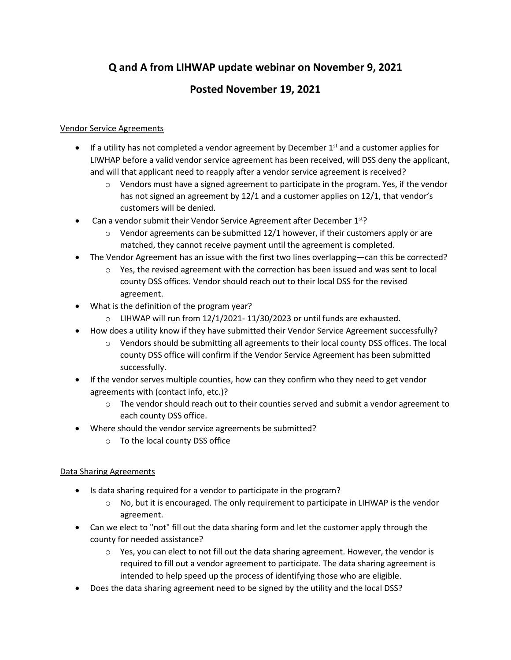# **Q and A from LIHWAP update webinar on November 9, 2021**

# **Posted November 19, 2021**

#### Vendor Service Agreements

- If a utility has not completed a vendor agreement by December  $1<sup>st</sup>$  and a customer applies for LIWHAP before a valid vendor service agreement has been received, will DSS deny the applicant, and will that applicant need to reapply after a vendor service agreement is received?
	- $\circ$  Vendors must have a signed agreement to participate in the program. Yes, if the vendor has not signed an agreement by 12/1 and a customer applies on 12/1, that vendor's customers will be denied.
- Can a vendor submit their Vendor Service Agreement after December  $1<sup>st</sup>$ ?
	- $\circ$  Vendor agreements can be submitted 12/1 however, if their customers apply or are matched, they cannot receive payment until the agreement is completed.
- The Vendor Agreement has an issue with the first two lines overlapping—can this be corrected?
	- $\circ$  Yes, the revised agreement with the correction has been issued and was sent to local county DSS offices. Vendor should reach out to their local DSS for the revised agreement.
- What is the definition of the program year?
	- $\circ$  LIHWAP will run from 12/1/2021-11/30/2023 or until funds are exhausted.
- How does a utility know if they have submitted their Vendor Service Agreement successfully?
	- o Vendors should be submitting all agreements to their local county DSS offices. The local county DSS office will confirm if the Vendor Service Agreement has been submitted successfully.
- If the vendor serves multiple counties, how can they confirm who they need to get vendor agreements with (contact info, etc.)?
	- $\circ$  The vendor should reach out to their counties served and submit a vendor agreement to each county DSS office.
- Where should the vendor service agreements be submitted?
	- o To the local county DSS office

### Data Sharing Agreements

- Is data sharing required for a vendor to participate in the program?
	- $\circ$  No, but it is encouraged. The only requirement to participate in LIHWAP is the vendor agreement.
- Can we elect to "not" fill out the data sharing form and let the customer apply through the county for needed assistance?
	- $\circ$  Yes, you can elect to not fill out the data sharing agreement. However, the vendor is required to fill out a vendor agreement to participate. The data sharing agreement is intended to help speed up the process of identifying those who are eligible.
- Does the data sharing agreement need to be signed by the utility and the local DSS?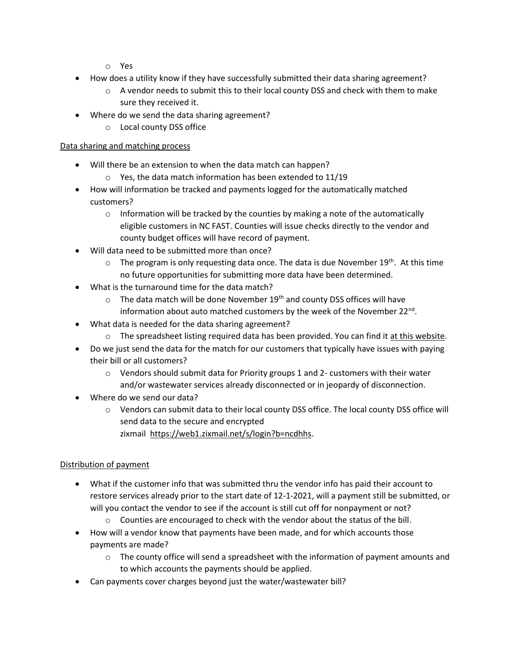- o Yes
- How does a utility know if they have successfully submitted their data sharing agreement?
	- $\circ$  A vendor needs to submit this to their local county DSS and check with them to make sure they received it.
- Where do we send the data sharing agreement?
	- o Local county DSS office

#### Data sharing and matching process

- Will there be an extension to when the data match can happen?
	- o Yes, the data match information has been extended to 11/19
- How will information be tracked and payments logged for the automatically matched customers?
	- $\circ$  Information will be tracked by the counties by making a note of the automatically eligible customers in NC FAST. Counties will issue checks directly to the vendor and county budget offices will have record of payment.
- Will data need to be submitted more than once?
	- $\circ$  The program is only requesting data once. The data is due November 19<sup>th</sup>. At this time no future opportunities for submitting more data have been determined.
- What is the turnaround time for the data match?
	- $\circ$  The data match will be done November 19<sup>th</sup> and county DSS offices will have information about auto matched customers by the week of the November 22<sup>nd</sup>.
- What data is needed for the data sharing agreement?
	- $\circ$  The spreadsheet listing required data has been provided. You can find i[t at this website.](https://efc.sog.unc.edu/resource/information-on-the-north-carolina-low-income-household-water-assistance-program-lihwap/)
- Do we just send the data for the match for our customers that typically have issues with paying their bill or all customers?
	- $\circ$  Vendors should submit data for Priority groups 1 and 2- customers with their water and/or wastewater services already disconnected or in jeopardy of disconnection.
- Where do we send our data?
	- $\circ$  Vendors can submit data to their local county DSS office. The local county DSS office will send data to the secure and encrypted zixmail [https://web1.zixmail.net/s/login?b=ncdhhs.](https://web1.zixmail.net/s/login?b=ncdhhs)

#### Distribution of payment

- What if the customer info that was submitted thru the vendor info has paid their account to restore services already prior to the start date of 12-1-2021, will a payment still be submitted, or will you contact the vendor to see if the account is still cut off for nonpayment or not?
	- $\circ$  Counties are encouraged to check with the vendor about the status of the bill.
- How will a vendor know that payments have been made, and for which accounts those payments are made?
	- $\circ$  The county office will send a spreadsheet with the information of payment amounts and to which accounts the payments should be applied.
- Can payments cover charges beyond just the water/wastewater bill?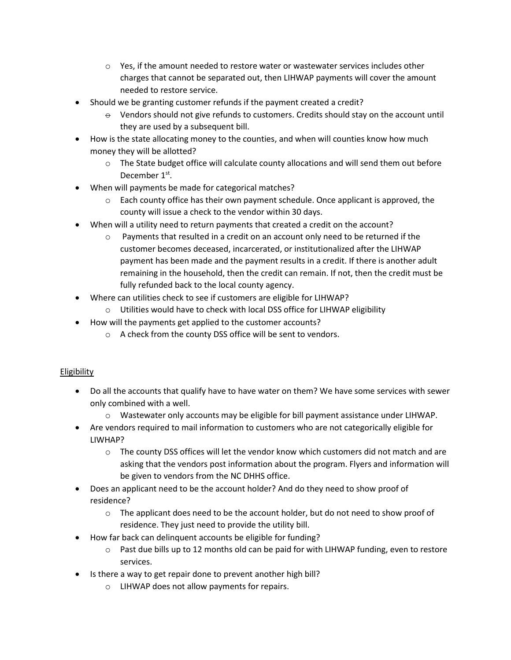- $\circ$  Yes, if the amount needed to restore water or wastewater services includes other charges that cannot be separated out, then LIHWAP payments will cover the amount needed to restore service.
- Should we be granting customer refunds if the payment created a credit?
	- $\Theta$  Vendors should not give refunds to customers. Credits should stay on the account until they are used by a subsequent bill.
- How is the state allocating money to the counties, and when will counties know how much money they will be allotted?
	- $\circ$  The State budget office will calculate county allocations and will send them out before December 1<sup>st</sup>.
- When will payments be made for categorical matches?
	- $\circ$  Each county office has their own payment schedule. Once applicant is approved, the county will issue a check to the vendor within 30 days.
- When will a utility need to return payments that created a credit on the account?
	- $\circ$  Payments that resulted in a credit on an account only need to be returned if the customer becomes deceased, incarcerated, or institutionalized after the LIHWAP payment has been made and the payment results in a credit. If there is another adult remaining in the household, then the credit can remain. If not, then the credit must be fully refunded back to the local county agency.
- Where can utilities check to see if customers are eligible for LIHWAP?
	- $\circ$  Utilities would have to check with local DSS office for LIHWAP eligibility
- How will the payments get applied to the customer accounts?
	- o A check from the county DSS office will be sent to vendors.

#### Eligibility

- Do all the accounts that qualify have to have water on them? We have some services with sewer only combined with a well.
	- o Wastewater only accounts may be eligible for bill payment assistance under LIHWAP.
- Are vendors required to mail information to customers who are not categorically eligible for LIWHAP?
	- $\circ$  The county DSS offices will let the vendor know which customers did not match and are asking that the vendors post information about the program. Flyers and information will be given to vendors from the NC DHHS office.
- Does an applicant need to be the account holder? And do they need to show proof of residence?
	- $\circ$  The applicant does need to be the account holder, but do not need to show proof of residence. They just need to provide the utility bill.
- How far back can delinquent accounts be eligible for funding?
	- $\circ$  Past due bills up to 12 months old can be paid for with LIHWAP funding, even to restore services.
- Is there a way to get repair done to prevent another high bill?
	- o LIHWAP does not allow payments for repairs.